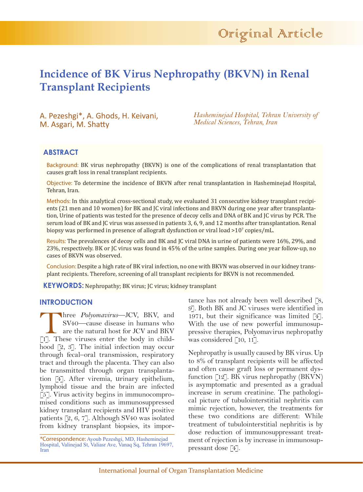# **Incidence of BK Virus Nephropathy (BKVN) in Renal Transplant Recipients**

A. Pezeshgi\*, A. Ghods, H. Keivani, M. Asgari, M. Shatty

*Hasheminejad Hospital, Tehran University of Medical Sciences, Tehran, Iran*

## **ABSTRACT**

Background: BK virus nephropathy (BKVN) is one of the complications of renal transplantation that causes graft loss in renal transplant recipients.

Objective: To determine the incidence of BKVN after renal transplantation in Hasheminejad Hospital, Tehran, Iran.

Methods: In this analytical cross-sectional study, we evaluated 31 consecutive kidney transplant recipients (21 men and 10 women) for BK and JC viral infections and BKVN during one year after transplantation, Urine of patients was tested for the presence of decoy cells and DNA of BK and JC virus by PCR. The serum load of BK and JC virus was assessed in patients 3, 6, 9, and 12 months after transplantation. Renal biopsy was performed in presence of allograft dysfunction or viral load  $>10^7$  copies/mL.

Results: The prevalences of decoy cells and BK and JC viral DNA in urine of patients were 16%, 29%, and 23%, respectively. BK or JC virus was found in 45% of the urine samples. During one year follow-up, no cases of BKVN was observed.

Conclusion: Despite a high rate of BK viral infection, no one with BKVN was observed in our kidney transplant recipients. Therefore, screening of all transplant recipients for BKVN is not recommended.

**KEYWORDS:** Nephropathy; BK virus; JC virus; kidney transplant

## **INTRODUCTION**

Three *Polyomavirus*—JCV, BKV, and SV40—cause disease in humans who are the natural host for JCV and BKV [1]. These viruses enter the body in childhood  $[2, 3]$ . The initial infection may occur through fecal–oral transmission, respiratory tract and through the placenta. They can also be transmitted through organ transplantation [4]. After viremia, urinary epithelium, lymphoid tissue and the brain are infected [5]. Virus activity begins in immunocompromised conditions such as immunosuppressed kidney transplant recipients and HIV positive patients [2, 6, 7]. Although SV40 was isolated from kidney transplant biopsies, its impor-

tance has not already been well described [8, 9]. Both BK and JC viruses were identified in 1971, but their significance was limited [4]. With the use of new powerful immunosuppressive therapies, Polyomavirus nephropathy was considered [10, 11].

Nephropathy is usually caused by BK virus. Up to 8% of transplant recipients will be affected and often cause graft loss or permanent dysfunction  $[12]$ . BK virus nephropathy (BKVN) is asymptomatic and presented as a gradual increase in serum creatinine. The pathological picture of tubulointerstitial nephritis can mimic rejection, however, the treatments for these two conditions are different: While treatment of tubulointerstitial nephritis is by dose reduction of immunosuppressant treatment of rejection is by increase in immunosuppressant dose [4].

<sup>\*</sup>Correspondence: Ayoub Pezeshgi, MD, Hasheminejad Hospital, Valinejad St, Valiasr Ave, Vanaq Sq, Tehran 19697, Iran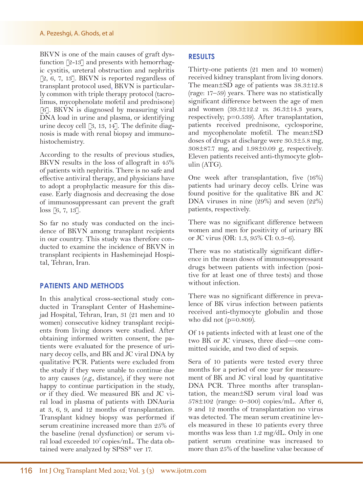BKVN is one of the main causes of graft dysfunction [2-13] and presents with hemorrhagic cystitis, ureteral obstruction and nephritis [2, 6, 7, 13]. BKVN is reported regardless of transplant protocol used. BKVN is particularly common with triple therapy protocol (tacrolimus, mycophenolate mofetil and prednisone) [6]. BKVN is diagnosed by measuring viral DNA load in urine and plasma, or identifying urine decoy cell [3, 13, 14]. The definite diagnosis is made with renal biopsy and immunohistochemistry.

According to the results of previous studies, BKVN results in the loss of allograft in 45% of patients with nephritis. There is no safe and effective antiviral therapy, and physicians have to adopt a prophylactic measure for this disease. Early diagnosis and decreasing the dose of immunosuppressant can prevent the graft loss [6, 7, 13].

So far no study was conducted on the incidence of BKVN among transplant recipients in our country. This study was therefore conducted to examine the incidence of BKVN in transplant recipients in Hasheminejad Hospital, Tehran, Iran.

## **PATIENTS AND METHODS**

In this analytical cross-sectional study conducted in Transplant Center of Hasheminejad Hospital, Tehran, Iran, 31 (21 men and 10 women) consecutive kidney transplant recipients from living donors were studied. After obtaining informed written consent, the patients were evaluated for the presence of urinary decoy cells, and BK and JC viral DNA by qualitative PCR. Patients were excluded from the study if they were unable to continue due to any causes (*e.g.*, distance), if they were not happy to continue participation in the study, or if they died. We measured BK and JC viral load in plasma of patients with DNAuria at 3, 6, 9, and 12 months of transplantation. Transplant kidney biopsy was performed if serum creatinine increased more than 25% of the baseline (renal dysfunction) or serum viral load exceeded 107 copies/mL. The data obtained were analyzed by SPSS® ver 17.

## **RESULTS**

Thirty-one patients (21 men and 10 women) received kidney transplant from living donors. The mean±SD age of patients was 38.3±12.8 (rage: 17–59) years. There was no statistically significant difference between the age of men and women (39.3±12.2 *vs*. 36.3±14.3 years, respectively; p=0.539). After transplantation, patients received prednisone, cyclosporine, and mycophenolate mofetil. The mean±SD doses of drugs at discharge were  $30.3 \pm 5.8$  mg, 308±87.7 mg, and 1.98±0.09 g, respectively. Eleven patients received anti-thymocyte globulin (ATG).

One week after transplantation, five (16%) patients had urinary decoy cells. Urine was found positive for the qualitative BK and JC DNA viruses in nine (29%) and seven (22%) patients, respectively.

There was no significant difference between women and men for positivity of urinary BK or JC virus (OR: 1.3, 95% CI: 0.3–6).

There was no statistically significant difference in the mean doses of immunosuppressant drugs between patients with infection (positive for at least one of three tests) and those without infection.

There was no significant difference in prevalence of BK virus infection between patients received anti-thymocyte globulin and those who did not  $(p=0.809)$ .

Of 14 patients infected with at least one of the two BK or JC viruses, three died—one committed suicide, and two died of sepsis.

Sera of 10 patients were tested every three months for a period of one year for measurement of BK and JC viral load by quantitative DNA PCR. Three months after transplantation, the mean±SD serum viral load was  $578\pm102$  (range: 0–300) copies/mL. After 6, 9 and 12 months of transplantation no virus was detected. The mean serum creatinine levels measured in these 10 patients every three months was less than 1.2 mg/dL. Only in one patient serum creatinine was increased to more than 25% of the baseline value because of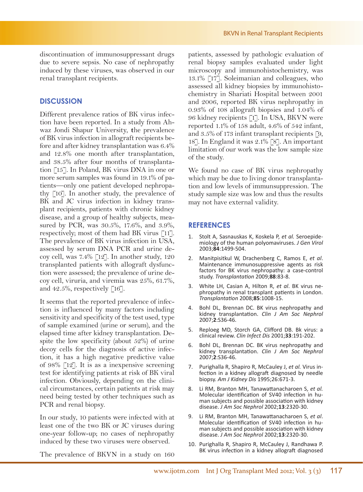discontinuation of immunosuppressant drugs due to severe sepsis. No case of nephropathy induced by these viruses, was observed in our renal transplant recipients.

#### **DISCUSSION**

Different prevalence ratios of BK virus infection have been reported. In a study from Ahwaz Jondi Shapur University, **t**he prevalence of BK virus infection in allograft recipients before and after kidney transplantation was 6.4% and 12.8% one month after transplantation, and 38.5% after four months of transplantation [15]. In Poland, BK virus DNA in one or more serum samples was found in 19.1% of patients—only one patient developed nephropathy [10]. In another study, the prevalence of BK and JC virus infection in kidney transplant recipients, patients with chronic kidney disease, and a group of healthy subjects, measured by PCR, was 30.5%, 17.6%, and 3.9%, respectively; most of them had BK virus [11]. The prevalence of BK virus infection in USA, assessed by serum DNA PCR and urine decoy cell, was 7.4% [12]. In another study, 120 transplanted patients with allograft dysfunction were assessed; the prevalence of urine decoy cell, viruria, and viremia was 25%, 61.7%, and 42.5%, respectively  $\lceil 16 \rceil$ .

It seems that the reported prevalence of infection is influenced by many factors including sensitivity and specificity of the test used, type of sample examined (urine or serum), and the elapsed time after kidney transplantation. Despite the low specificity (about 52%) of urine decoy cells for the diagnosis of active infection, it has a high negative predictive value of 98% [12]. It is as a inexpensive screening test for identifying patients at risk of BK viral infection. Obviously, depending on the clinical circumstances, certain patients at risk may need being tested by other techniques such as PCR and renal biopsy.

In our study, 10 patients were infected with at least one of the two BK or JC viruses during one-year follow-up; no cases of nephropathy induced by these two viruses were observed.

BKVN in Renal Transplant Recipients

patients, assessed by pathologic evaluation of renal biopsy samples evaluated under light microscopy and immunohistochemistry, was 13.1% [17]. Soleimanian and colleagues, who assessed all kidney biopsies by immunohistochemistry in Shariati Hospital between 2001 and 2006, reported BK virus nephropathy in 0.93% of 108 allograft biopsies and 1.04% of 96 kidney recipients [1]. In USA, BKVN were reported 1.1% of 158 adult, 4.6% of 542 infant, and 3.5% of 173 infant transplant recipients [9, 18]. In England it was 2.1% [8]. An important limitation of our work was the low sample size of the study.

We found no case of BK virus nephropathy which may be due to living donor transplantation and low levels of immunsuppression. The study sample size was low and thus the results may not have external validity.

#### **REFERENCES**

- 1. Stolt A, Sasnauskas K, Koskela P, *et al.* Seroepidemiology of the human polyomaviruses. *J Gen Virol* 2003;**84**:1499-504.
- 2. Manitpisitkul W, Drachenberg C, Ramos E, *et al*. Maintenance immunosuppressive agents as risk factors for BK virus nephropathy: a case-control study. *Transplantation* 2009;**88**:83-8.
- 3. White LH, Casian A, Hilton R, *et al*. BK virus nephropathy in renal transplant patients in London. *Transplantation* 2008;**85**:1008-15.
- 4. Bohl DL, Brennan DC. BK virus nephropathy and kidney transplantation. *Clin J Am Soc Nephrol* 2007;**2**:S36-46.
- 5. Reploeg MD, Storch GA, Clifford DB. Bk virus: a clinical review. *Clin Infect Dis* 2001;**33**:191-202.
- 6. Bohl DL, Brennan DC. BK virus nephropathy and kidney transplantation. *Clin J Am Soc Nephrol* 2007;**2**:S36-46.
- 7. Purighalla R, Shapiro R, McCauley J, *et al.* Virus infection in a kidney allograft diagnosed by needle biopsy. *Am J Kidney Dis* 1995;26:671-3.
- 8. Li RM, Branton MH, Tanawattanacharoen S, *et al.* Molecular identification of SV40 infection in human subjects and possible association with kidney disease. *J Am Soc Nephrol* 2002;**13**:2320-30.
- 9. Li RM, Branton MH, Tanawattanacharoen S, *et al*. Molecular identification of SV40 infection in human subjects and possible association with kidney disease. *J Am Soc Nephrol* 2002;**13**:2320-30.
- 10. Purighalla R, Shapiro R, McCauley J, Randhawa P. BK virus infection in a kidney allograft diagnosed

The prevalence of BKVN in a study on 160